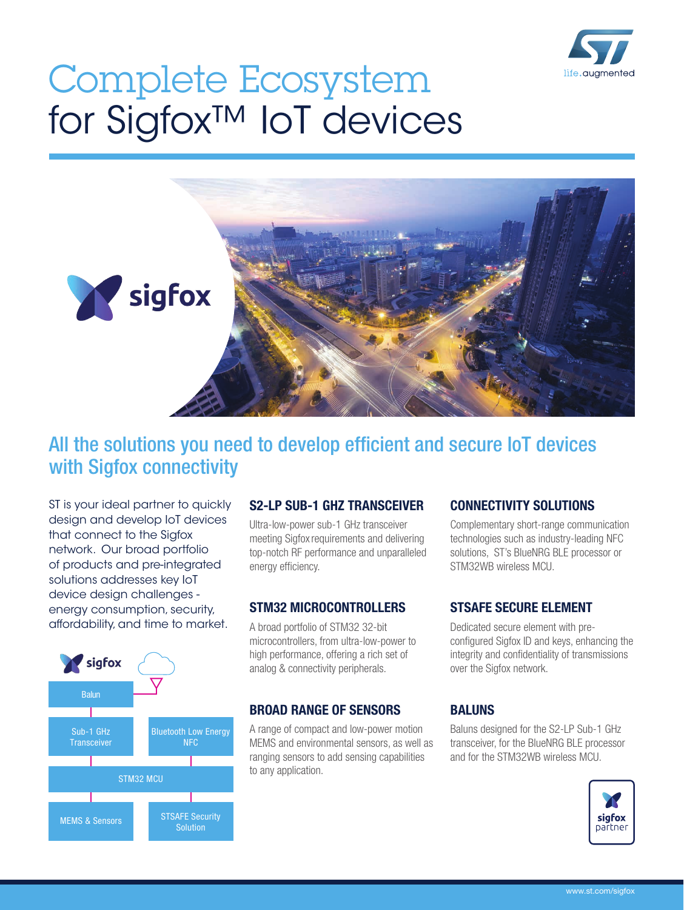

# Complete Ecosystem for Sigfox™ IoT devices



# All the solutions you need to develop efficient and secure IoT devices with Sigfox connectivity

ST is your ideal partner to quickly design and develop IoT devices that connect to the Sigfox network. Our broad portfolio of products and pre-integrated solutions addresses key IoT device design challenges energy consumption, security, affordability, and time to market.



## S2-LP SUB-1 GHZ TRANSCEIVER

Ultra-low-power sub-1 GHz transceiver meeting Sigfox requirements and delivering top-notch RF performance and unparalleled energy efficiency.

#### STM32 MICROCONTROLLERS

A broad portfolio of STM32 32-bit microcontrollers, from ultra-low-power to high performance, offering a rich set of analog & connectivity peripherals.

#### BROAD RANGE OF SENSORS

A range of compact and low-power motion MEMS and environmental sensors, as well as ranging sensors to add sensing capabilities to any application.

#### CONNECTIVITY SOLUTIONS

Complementary short-range communication technologies such as industry-leading NFC solutions, ST's BlueNRG BLE processor or STM32WB wireless MCU.

#### STSAFE SECURE ELEMENT

Dedicated secure element with preconfigured Sigfox ID and keys, enhancing the integrity and confidentiality of transmissions over the Sigfox network.

## BALUNS

Baluns designed for the S2-LP Sub-1 GHz transceiver, for the BlueNRG BLE processor and for the STM32WB wireless MCU.